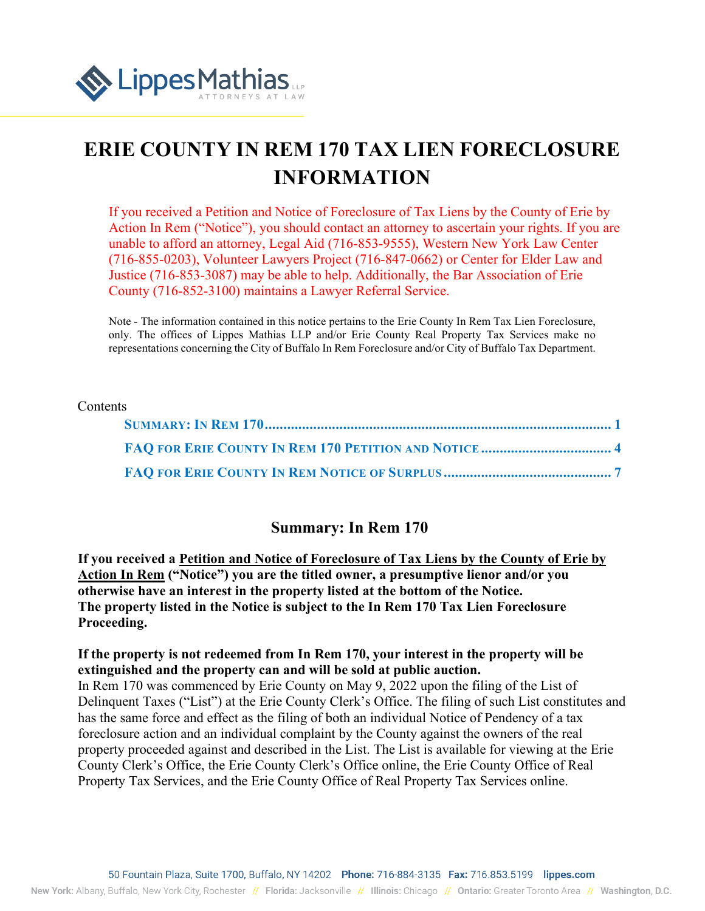

# **ERIE COUNTY IN REM 170 TAX LIEN FORECLOSURE INFORMATION**

If you received a Petition and Notice of Foreclosure of Tax Liens by the County of Erie by Action In Rem ("Notice"), you should contact an attorney to ascertain your rights. If you are unable to afford an attorney, Legal Aid (716-853-9555), Western New York Law Center (716-855-0203), Volunteer Lawyers Project (716-847-0662) or Center for Elder Law and Justice (716-853-3087) may be able to help. Additionally, the Bar Association of Erie County (716-852-3100) maintains a Lawyer Referral Service.

Note - The information contained in this notice pertains to the Erie County In Rem Tax Lien Foreclosure, only. The offices of Lippes Mathias LLP and/or Erie County Real Property Tax Services make no representations concerning the City of Buffalo In Rem Foreclosure and/or City of Buffalo Tax Department.

#### Contents

#### **Summary: In Rem 170**

<span id="page-0-0"></span>**If you received a Petition and Notice of Foreclosure of Tax Liens by the County of Erie by Action In Rem ("Notice") you are the titled owner, a presumptive lienor and/or you otherwise have an interest in the property listed at the bottom of the Notice. The property listed in the Notice is subject to the In Rem 170 Tax Lien Foreclosure Proceeding.**

#### **If the property is not redeemed from In Rem 170, your interest in the property will be extinguished and the property can and will be sold at public auction.**

In Rem 170 was commenced by Erie County on May 9, 2022 upon the filing of the List of Delinquent Taxes ("List") at the Erie County Clerk's Office. The filing of such List constitutes and has the same force and effect as the filing of both an individual Notice of Pendency of a tax foreclosure action and an individual complaint by the County against the owners of the real property proceeded against and described in the List. The List is available for viewing at the Erie County Clerk's Office, the Erie County Clerk's Office online, the Erie County Office of Real Property Tax Services, and the Erie County Office of Real Property Tax Services online.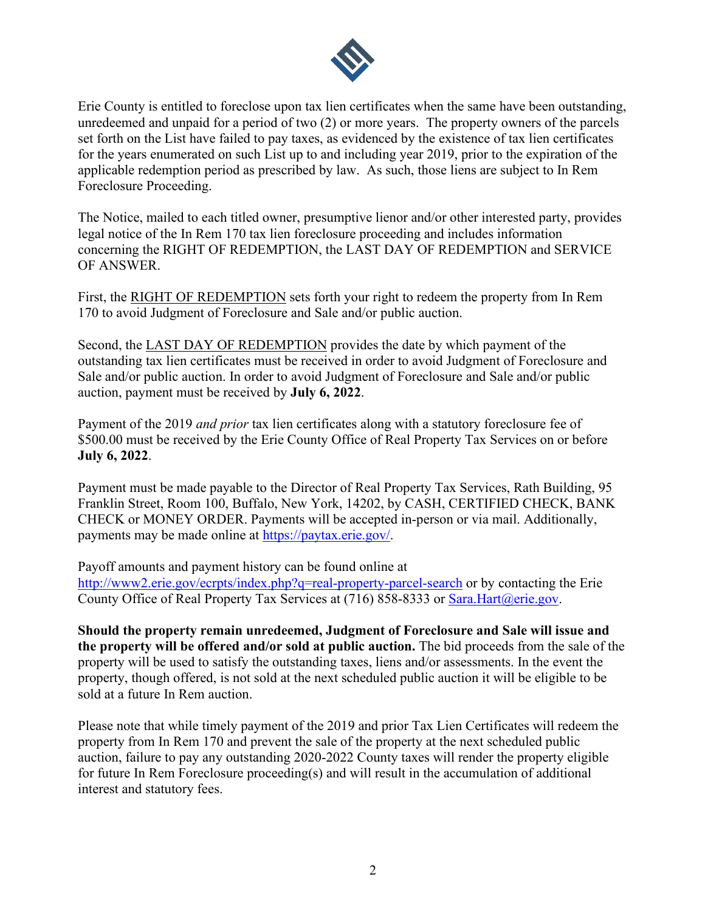

Erie County is entitled to foreclose upon tax lien certificates when the same have been outstanding, unredeemed and unpaid for a period of two (2) or more years. The property owners of the parcels set forth on the List have failed to pay taxes, as evidenced by the existence of tax lien certificates for the years enumerated on such List up to and including year 2019, prior to the expiration of the applicable redemption period as prescribed by law. As such, those liens are subject to In Rem Foreclosure Proceeding.

The Notice, mailed to each titled owner, presumptive lienor and/or other interested party, provides legal notice of the In Rem 170 tax lien foreclosure proceeding and includes information concerning the RIGHT OF REDEMPTION, the LAST DAY OF REDEMPTION and SERVICE OF ANSWER.

First, the RIGHT OF REDEMPTION sets forth your right to redeem the property from In Rem 170 to avoid Judgment of Foreclosure and Sale and/or public auction.

Second, the LAST DAY OF REDEMPTION provides the date by which payment of the outstanding tax lien certificates must be received in order to avoid Judgment of Foreclosure and Sale and/or public auction. In order to avoid Judgment of Foreclosure and Sale and/or public auction, payment must be received by **July 6, 2022**.

Payment of the 2019 *and prior* tax lien certificates along with a statutory foreclosure fee of \$500.00 must be received by the Erie County Office of Real Property Tax Services on or before **July 6, 2022**.

Payment must be made payable to the Director of Real Property Tax Services, Rath Building, 95 Franklin Street, Room 100, Buffalo, New York, 14202, by CASH, CERTIFIED CHECK, BANK CHECK or MONEY ORDER. Payments will be accepted in-person or via mail. Additionally, payments may be made online at [https://paytax.erie.gov/.](https://paytax.erie.gov/)

Payoff amounts and payment history can be found online at <http://www2.erie.gov/ecrpts/index.php?q=real-property-parcel-search>or by contacting the Erie County Office of Real Property Tax Services at (716) 858-8333 or [Sara.Hart@erie.gov.](mailto:Sara.Hart@erie.gov)

**Should the property remain unredeemed, Judgment of Foreclosure and Sale will issue and the property will be offered and/or sold at public auction.** The bid proceeds from the sale of the property will be used to satisfy the outstanding taxes, liens and/or assessments. In the event the property, though offered, is not sold at the next scheduled public auction it will be eligible to be sold at a future In Rem auction.

Please note that while timely payment of the 2019 and prior Tax Lien Certificates will redeem the property from In Rem 170 and prevent the sale of the property at the next scheduled public auction, failure to pay any outstanding 2020-2022 County taxes will render the property eligible for future In Rem Foreclosure proceeding(s) and will result in the accumulation of additional interest and statutory fees.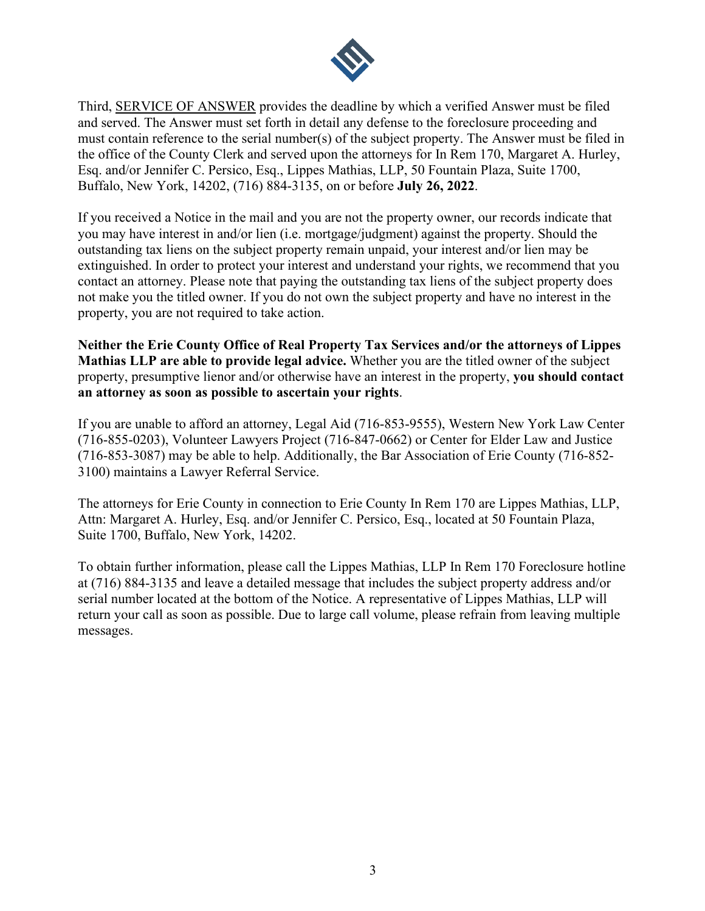

Third, SERVICE OF ANSWER provides the deadline by which a verified Answer must be filed and served. The Answer must set forth in detail any defense to the foreclosure proceeding and must contain reference to the serial number(s) of the subject property. The Answer must be filed in the office of the County Clerk and served upon the attorneys for In Rem 170, Margaret A. Hurley, Esq. and/or Jennifer C. Persico, Esq., Lippes Mathias, LLP, 50 Fountain Plaza, Suite 1700, Buffalo, New York, 14202, (716) 884-3135, on or before **July 26, 2022**.

If you received a Notice in the mail and you are not the property owner, our records indicate that you may have interest in and/or lien (i.e. mortgage/judgment) against the property. Should the outstanding tax liens on the subject property remain unpaid, your interest and/or lien may be extinguished. In order to protect your interest and understand your rights, we recommend that you contact an attorney. Please note that paying the outstanding tax liens of the subject property does not make you the titled owner. If you do not own the subject property and have no interest in the property, you are not required to take action.

**Neither the Erie County Office of Real Property Tax Services and/or the attorneys of Lippes Mathias LLP are able to provide legal advice.** Whether you are the titled owner of the subject property, presumptive lienor and/or otherwise have an interest in the property, **you should contact an attorney as soon as possible to ascertain your rights**.

If you are unable to afford an attorney, Legal Aid (716-853-9555), Western New York Law Center (716-855-0203), Volunteer Lawyers Project (716-847-0662) or Center for Elder Law and Justice (716-853-3087) may be able to help. Additionally, the Bar Association of Erie County (716-852- 3100) maintains a Lawyer Referral Service.

The attorneys for Erie County in connection to Erie County In Rem 170 are Lippes Mathias, LLP, Attn: Margaret A. Hurley, Esq. and/or Jennifer C. Persico, Esq., located at 50 Fountain Plaza, Suite 1700, Buffalo, New York, 14202.

To obtain further information, please call the Lippes Mathias, LLP In Rem 170 Foreclosure hotline at (716) 884-3135 and leave a detailed message that includes the subject property address and/or serial number located at the bottom of the Notice. A representative of Lippes Mathias, LLP will return your call as soon as possible. Due to large call volume, please refrain from leaving multiple messages.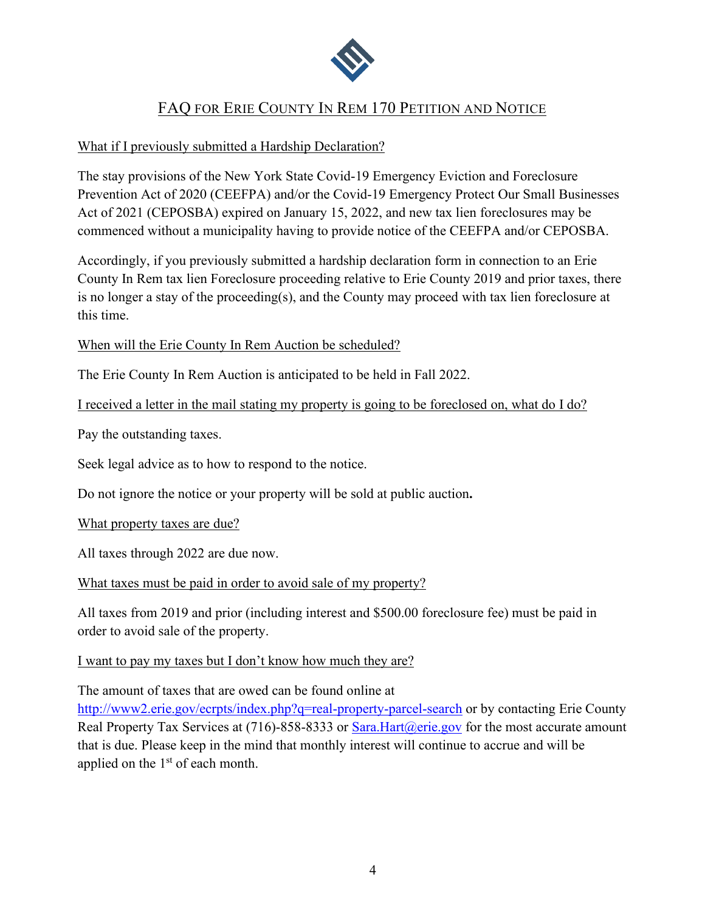

## <span id="page-3-0"></span>FAQ FOR ERIE COUNTY IN REM 170 PETITION AND NOTICE

### What if I previously submitted a Hardship Declaration?

The stay provisions of the New York State Covid-19 Emergency Eviction and Foreclosure Prevention Act of 2020 (CEEFPA) and/or the Covid-19 Emergency Protect Our Small Businesses Act of 2021 (CEPOSBA) expired on January 15, 2022, and new tax lien foreclosures may be commenced without a municipality having to provide notice of the CEEFPA and/or CEPOSBA.

Accordingly, if you previously submitted a hardship declaration form in connection to an Erie County In Rem tax lien Foreclosure proceeding relative to Erie County 2019 and prior taxes, there is no longer a stay of the proceeding(s), and the County may proceed with tax lien foreclosure at this time.

#### When will the Erie County In Rem Auction be scheduled?

The Erie County In Rem Auction is anticipated to be held in Fall 2022.

I received a letter in the mail stating my property is going to be foreclosed on, what do I do?

Pay the outstanding taxes.

Seek legal advice as to how to respond to the notice.

Do not ignore the notice or your property will be sold at public auction**.** 

What property taxes are due?

All taxes through 2022 are due now.

What taxes must be paid in order to avoid sale of my property?

All taxes from 2019 and prior (including interest and \$500.00 foreclosure fee) must be paid in order to avoid sale of the property.

### I want to pay my taxes but I don't know how much they are?

The amount of taxes that are owed can be found online at

<http://www2.erie.gov/ecrpts/index.php?q=real-property-parcel-search>or by contacting Erie County Real Property Tax Services at (716)-858-8333 or  $Sara.Hart@erie.gov$  for the most accurate amount that is due. Please keep in the mind that monthly interest will continue to accrue and will be applied on the  $1<sup>st</sup>$  of each month.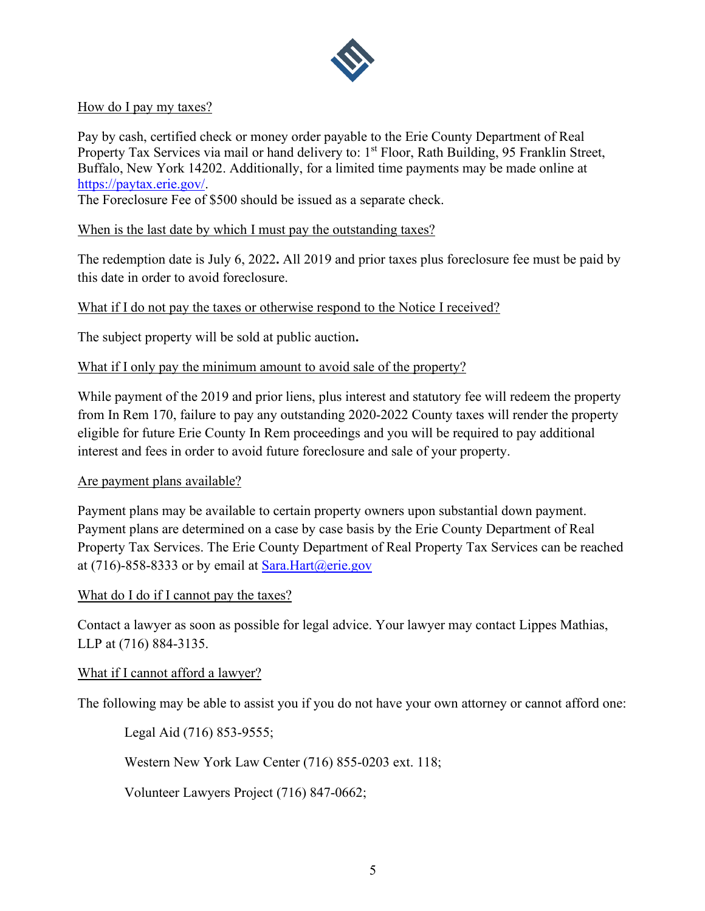

#### How do I pay my taxes?

Pay by cash, certified check or money order payable to the Erie County Department of Real Property Tax Services via mail or hand delivery to: 1<sup>st</sup> Floor, Rath Building, 95 Franklin Street, Buffalo, New York 14202. Additionally, for a limited time payments may be made online at [https://paytax.erie.gov/.](https://paytax.erie.gov/)

The Foreclosure Fee of \$500 should be issued as a separate check.

When is the last date by which I must pay the outstanding taxes?

The redemption date is July 6, 2022**.** All 2019 and prior taxes plus foreclosure fee must be paid by this date in order to avoid foreclosure.

What if I do not pay the taxes or otherwise respond to the Notice I received?

The subject property will be sold at public auction**.**

#### What if I only pay the minimum amount to avoid sale of the property?

While payment of the 2019 and prior liens, plus interest and statutory fee will redeem the property from In Rem 170, failure to pay any outstanding 2020-2022 County taxes will render the property eligible for future Erie County In Rem proceedings and you will be required to pay additional interest and fees in order to avoid future foreclosure and sale of your property.

#### Are payment plans available?

Payment plans may be available to certain property owners upon substantial down payment. Payment plans are determined on a case by case basis by the Erie County Department of Real Property Tax Services. The Erie County Department of Real Property Tax Services can be reached at (716)-858-8333 or by email at  $Sara.Hart(\omega)$ erie.gov

#### What do I do if I cannot pay the taxes?

Contact a lawyer as soon as possible for legal advice. Your lawyer may contact Lippes Mathias, LLP at (716) 884-3135.

#### What if I cannot afford a lawyer?

The following may be able to assist you if you do not have your own attorney or cannot afford one:

Legal Aid (716) 853-9555;

Western New York Law Center (716) 855-0203 ext. 118;

Volunteer Lawyers Project (716) 847-0662;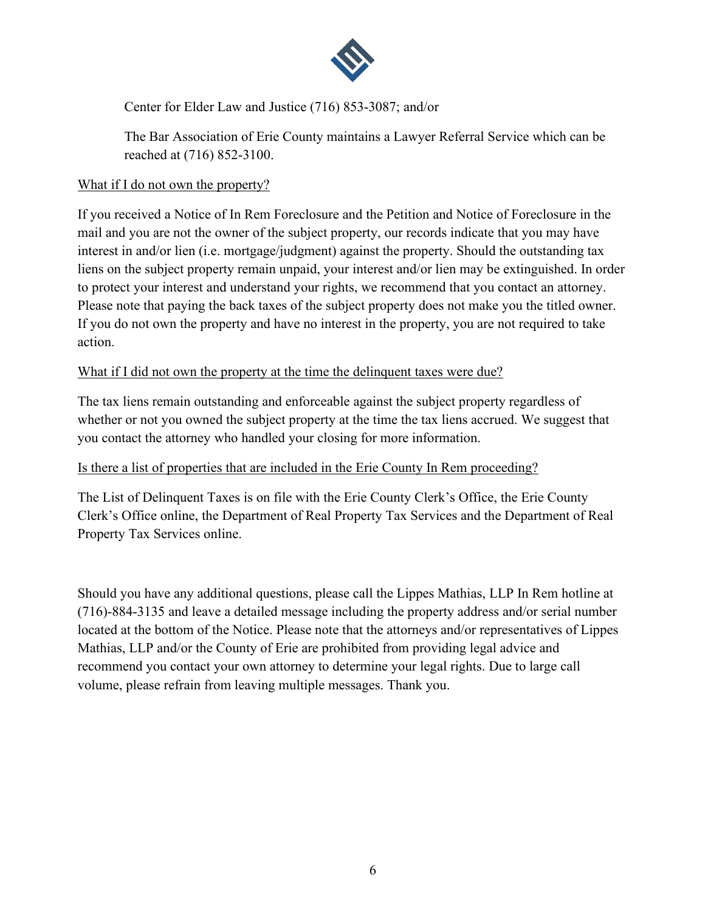

Center for Elder Law and Justice (716) 853-3087; and/or

The Bar Association of Erie County maintains a Lawyer Referral Service which can be reached at (716) 852-3100.

#### What if I do not own the property?

If you received a Notice of In Rem Foreclosure and the Petition and Notice of Foreclosure in the mail and you are not the owner of the subject property, our records indicate that you may have interest in and/or lien (i.e. mortgage/judgment) against the property. Should the outstanding tax liens on the subject property remain unpaid, your interest and/or lien may be extinguished. In order to protect your interest and understand your rights, we recommend that you contact an attorney. Please note that paying the back taxes of the subject property does not make you the titled owner. If you do not own the property and have no interest in the property, you are not required to take action.

#### What if I did not own the property at the time the delinguent taxes were due?

The tax liens remain outstanding and enforceable against the subject property regardless of whether or not you owned the subject property at the time the tax liens accrued. We suggest that you contact the attorney who handled your closing for more information.

#### Is there a list of properties that are included in the Erie County In Rem proceeding?

The List of Delinquent Taxes is on file with the Erie County Clerk's Office, the Erie County Clerk's Office online, the Department of Real Property Tax Services and the Department of Real Property Tax Services online.

Should you have any additional questions, please call the Lippes Mathias, LLP In Rem hotline at (716)-884-3135 and leave a detailed message including the property address and/or serial number located at the bottom of the Notice. Please note that the attorneys and/or representatives of Lippes Mathias, LLP and/or the County of Erie are prohibited from providing legal advice and recommend you contact your own attorney to determine your legal rights. Due to large call volume, please refrain from leaving multiple messages. Thank you.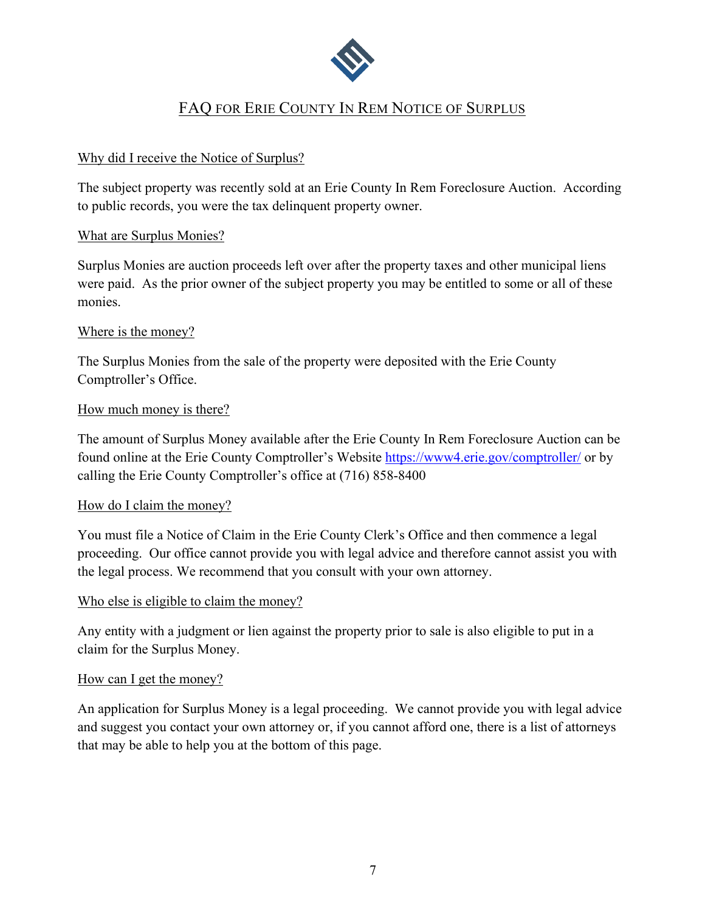

## <span id="page-6-0"></span>FAQ FOR ERIE COUNTY IN REM NOTICE OF SURPLUS

#### Why did I receive the Notice of Surplus?

The subject property was recently sold at an Erie County In Rem Foreclosure Auction. According to public records, you were the tax delinquent property owner.

#### What are Surplus Monies?

Surplus Monies are auction proceeds left over after the property taxes and other municipal liens were paid. As the prior owner of the subject property you may be entitled to some or all of these monies.

#### Where is the money?

The Surplus Monies from the sale of the property were deposited with the Erie County Comptroller's Office.

#### How much money is there?

The amount of Surplus Money available after the Erie County In Rem Foreclosure Auction can be found online at the Erie County Comptroller's Website<https://www4.erie.gov/comptroller/>or by calling the Erie County Comptroller's office at (716) 858-8400

#### How do I claim the money?

You must file a Notice of Claim in the Erie County Clerk's Office and then commence a legal proceeding. Our office cannot provide you with legal advice and therefore cannot assist you with the legal process. We recommend that you consult with your own attorney.

#### Who else is eligible to claim the money?

Any entity with a judgment or lien against the property prior to sale is also eligible to put in a claim for the Surplus Money.

#### How can I get the money?

An application for Surplus Money is a legal proceeding. We cannot provide you with legal advice and suggest you contact your own attorney or, if you cannot afford one, there is a list of attorneys that may be able to help you at the bottom of this page.